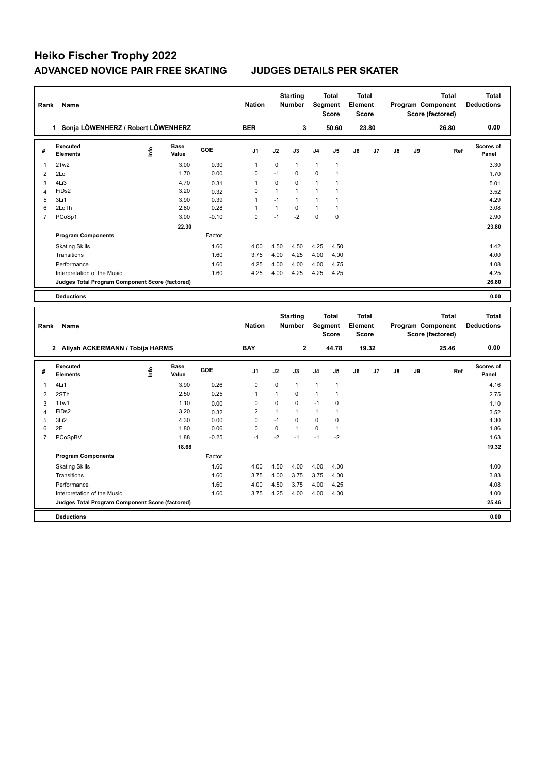## **Heiko Fischer Trophy 2022 ADVANCED NOVICE PAIR FREE SKATING JUDGES DETAILS PER SKATER**

| Rank           | Name                                                                 |             |                      |              | <b>Nation</b>                 |                      | <b>Starting</b><br><b>Number</b> |                             | Total<br>Segment<br><b>Score</b> | <b>Total</b><br>Element<br><b>Score</b> |       |    |    | <b>Total</b><br>Program Component<br>Score (factored) | <b>Total</b><br><b>Deductions</b> |
|----------------|----------------------------------------------------------------------|-------------|----------------------|--------------|-------------------------------|----------------------|----------------------------------|-----------------------------|----------------------------------|-----------------------------------------|-------|----|----|-------------------------------------------------------|-----------------------------------|
|                | 1 Sonja LÖWENHERZ / Robert LÖWENHERZ                                 |             |                      |              | <b>BER</b>                    |                      | 3                                |                             | 50.60                            |                                         | 23.80 |    |    | 26.80                                                 | 0.00                              |
| #              | Executed<br><b>Elements</b>                                          | <u>info</u> | <b>Base</b><br>Value | GOE          | J1                            | J2                   | J3                               | J4                          | J5                               | J6                                      | J7    | J8 | J9 | Ref                                                   | Scores of<br>Panel                |
| $\overline{1}$ | 2Tw2                                                                 |             | 3.00                 | 0.30         | $\mathbf{1}$                  | 0                    | 1                                | 1                           | $\mathbf{1}$                     |                                         |       |    |    |                                                       | 3.30                              |
| $\overline{2}$ | 2Lo                                                                  |             | 1.70                 | 0.00         | $\mathbf 0$                   | $-1$                 | $\mathbf 0$                      | 0                           | 1                                |                                         |       |    |    |                                                       | 1.70                              |
| 3              | 4Li3                                                                 |             | 4.70                 | 0.31         | $\mathbf{1}$                  | $\mathbf 0$          | 0                                | 1                           | 1                                |                                         |       |    |    |                                                       | 5.01                              |
| $\overline{4}$ | FiD <sub>s2</sub>                                                    |             | 3.20                 | 0.32         | $\mathbf 0$                   | $\mathbf{1}$         | $\mathbf{1}$                     | 1                           | 1                                |                                         |       |    |    |                                                       | 3.52                              |
| 5              | 3Li1                                                                 |             | 3.90                 | 0.39         | 1                             | $-1$                 | $\mathbf{1}$                     | 1                           | $\mathbf{1}$                     |                                         |       |    |    |                                                       | 4.29                              |
| 6              | 2LoTh                                                                |             | 2.80                 | 0.28         | 1                             | $\mathbf{1}$         | $\mathbf 0$                      | 1                           | $\mathbf{1}$                     |                                         |       |    |    |                                                       | 3.08                              |
| $\overline{7}$ | PCoSp1                                                               |             | 3.00                 | $-0.10$      | $\mathbf 0$                   | $-1$                 | $-2$                             | 0                           | 0                                |                                         |       |    |    |                                                       | 2.90                              |
|                |                                                                      |             | 22.30                |              |                               |                      |                                  |                             |                                  |                                         |       |    |    |                                                       | 23.80                             |
|                | <b>Program Components</b>                                            |             |                      | Factor       |                               |                      |                                  |                             |                                  |                                         |       |    |    |                                                       |                                   |
|                | <b>Skating Skills</b>                                                |             |                      | 1.60         | 4.00                          | 4.50                 | 4.50                             | 4.25                        | 4.50                             |                                         |       |    |    |                                                       | 4.42                              |
|                | Transitions                                                          |             |                      | 1.60         | 3.75                          | 4.00                 | 4.25                             | 4.00                        | 4.00                             |                                         |       |    |    |                                                       | 4.00                              |
|                | Performance                                                          |             |                      | 1.60         | 4.25                          | 4.00                 | 4.00                             | 4.00                        | 4.75                             |                                         |       |    |    |                                                       | 4.08                              |
|                | Interpretation of the Music                                          |             |                      | 1.60         | 4.25                          | 4.00                 | 4.25                             | 4.25                        | 4.25                             |                                         |       |    |    |                                                       | 4.25                              |
|                | Judges Total Program Component Score (factored)                      |             |                      |              |                               |                      |                                  |                             |                                  |                                         |       |    |    |                                                       | 26.80                             |
|                | <b>Deductions</b>                                                    |             |                      |              |                               |                      |                                  |                             |                                  |                                         |       |    |    |                                                       | 0.00                              |
|                |                                                                      |             |                      |              |                               |                      |                                  |                             |                                  |                                         |       |    |    |                                                       |                                   |
|                |                                                                      |             |                      |              |                               |                      |                                  |                             |                                  |                                         |       |    |    |                                                       |                                   |
| Rank           | Name                                                                 |             |                      |              | <b>Nation</b>                 |                      | <b>Starting</b><br>Number        |                             | <b>Total</b><br>Segment<br>Score | <b>Total</b><br>Element<br><b>Score</b> |       |    |    | <b>Total</b><br>Program Component<br>Score (factored) | <b>Total</b><br><b>Deductions</b> |
|                | 2 Aliyah ACKERMANN / Tobija HARMS                                    |             |                      |              | <b>BAY</b>                    |                      | $\overline{2}$                   |                             | 44.78                            |                                         | 19.32 |    |    | 25.46                                                 | 0.00                              |
| #              | <b>Executed</b><br><b>Elements</b>                                   |             | <b>Base</b><br>Value | GOE          | J <sub>1</sub>                | J2                   | J3                               | J4                          | J5                               | J6                                      | J7    | J8 | J9 | Ref                                                   | Scores of<br>Panel                |
|                |                                                                      | ١nf٥        |                      |              |                               |                      |                                  |                             |                                  |                                         |       |    |    |                                                       |                                   |
| 1              | 4Li1                                                                 |             | 3.90                 | 0.26         | $\mathbf 0$                   | 0                    | $\mathbf{1}$                     | 1                           | $\mathbf{1}$                     |                                         |       |    |    |                                                       | 4.16                              |
| $\overline{2}$ | 2STh                                                                 |             | 2.50                 | 0.25         | $\mathbf{1}$                  | $\mathbf{1}$         | $\mathbf 0$                      | $\mathbf{1}$                | $\mathbf{1}$                     |                                         |       |    |    |                                                       | 2.75                              |
| 3              | 1Tw1                                                                 |             | 1.10                 | 0.00         | $\mathbf 0$                   | $\mathbf 0$          | $\mathbf 0$<br>$\mathbf{1}$      | $-1$                        | 0                                |                                         |       |    |    |                                                       | 1.10                              |
| $\overline{4}$ | FiDs2                                                                |             | 3.20                 | 0.32         | $\overline{2}$<br>$\mathbf 0$ | $\mathbf{1}$<br>$-1$ | $\mathbf 0$                      | $\mathbf{1}$<br>$\mathbf 0$ | $\mathbf{1}$                     |                                         |       |    |    |                                                       | 3.52                              |
| 5<br>6         | 3Li <sub>2</sub><br>2F                                               |             | 4.30<br>1.80         | 0.00<br>0.06 | $\mathbf 0$                   | $\mathbf 0$          | $\mathbf{1}$                     | 0                           | 0<br>$\mathbf{1}$                |                                         |       |    |    |                                                       | 4.30<br>1.86                      |
| $\overline{7}$ | PCoSpBV                                                              |             | 1.88                 | $-0.25$      | $-1$                          | $-2$                 | $-1$                             | $-1$                        | $-2$                             |                                         |       |    |    |                                                       | 1.63                              |
|                |                                                                      |             | 18.68                |              |                               |                      |                                  |                             |                                  |                                         |       |    |    |                                                       | 19.32                             |
|                | <b>Program Components</b>                                            |             |                      | Factor       |                               |                      |                                  |                             |                                  |                                         |       |    |    |                                                       |                                   |
|                |                                                                      |             |                      |              |                               |                      | 4.00                             |                             |                                  |                                         |       |    |    |                                                       |                                   |
|                | <b>Skating Skills</b>                                                |             |                      | 1.60         | 4.00                          | 4.50                 |                                  | 4.00                        | 4.00                             |                                         |       |    |    |                                                       | 4.00                              |
|                | Transitions                                                          |             |                      | 1.60         | 3.75                          | 4.00                 | 3.75                             | 3.75                        | 4.00                             |                                         |       |    |    |                                                       | 3.83                              |
|                | Performance                                                          |             |                      | 1.60         | 4.00                          | 4.50                 | 3.75                             | 4.00                        | 4.25                             |                                         |       |    |    |                                                       | 4.08                              |
|                | Interpretation of the Music                                          |             |                      | 1.60         | 3.75                          | 4.25                 | 4.00                             | 4.00                        | 4.00                             |                                         |       |    |    |                                                       | 4.00                              |
|                | Judges Total Program Component Score (factored)<br><b>Deductions</b> |             |                      |              |                               |                      |                                  |                             |                                  |                                         |       |    |    |                                                       | 25.46<br>0.00                     |